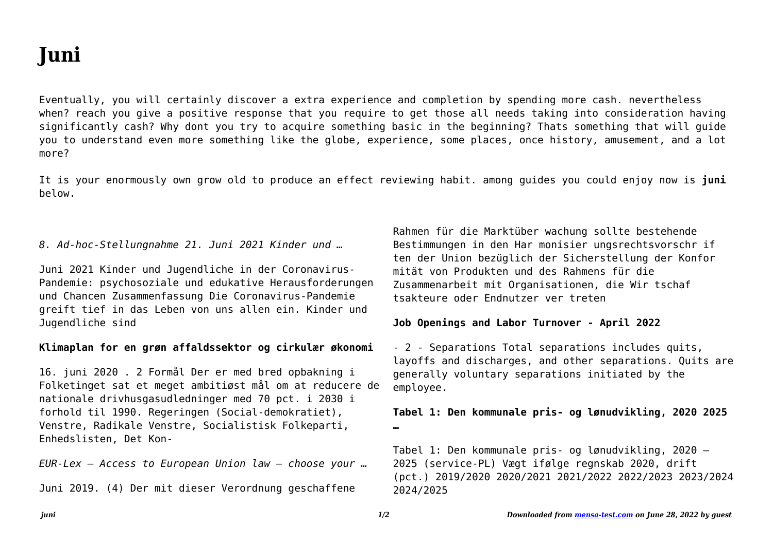# **Juni**

Yeah, reviewing a ebook **juni** could accumulate your close contacts listings. This is just one of the solutions for you to be successful. As understood, achievement does not recommend that you have fantastic points.

Comprehending as skillfully as union even more than supplementary will meet the expense of each success. adjacent to, the statement as without difficulty as insight of this juni can be taken as well as picked to act.

## **Verordnung (EU) Nr. 604/2013 des Europäischen Parlaments …**

und des Rates vom 26. Juni 2013 zur Festlegung von Normen für die Aufnahme von Personen, die internatio nalen Schutz beantragen (3) sollte vorbehaltlich der Ein schränkungen der Anwendung jener Richtlinie auf das Verfahren zur Bestimmung des zuständigen Mitgliedstaats nach Maßgabe dieser Verordnung Anwendung finden.

## **Werkwijzer Poortwachter - UWV**

*Downloaded from [mensa-test.com](https://mensa-test.com) on June 30, 2022 by guest* Bij de geactualiseerde Werkwijzer Poortwachter van 1 juni 2021 Door de inwerkingtreding van de 'Wet arbeidsmarkt in balans' (WAB) vanaf 1 januari 2020, is de Werkwijzer Poortwachter aangepast. Zo zijn de re-integratieverplichtingen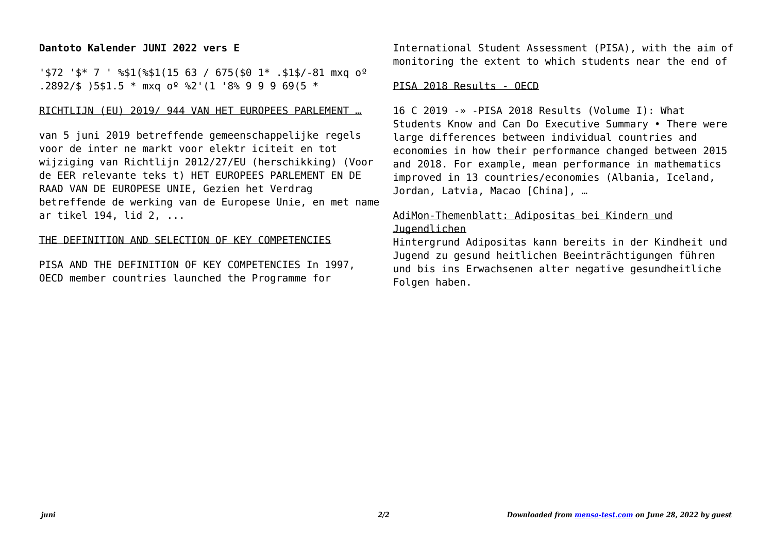van de payrollwerkgever gewijzigd. Daarom zijn (in hoofdstuk 6) ook deze teksten veranderd.

#### **Oerol Festival 2022 - vrijdag 10 juni 2022**

Oerol Festival 2022 - vrijdag 10 juni 2022 Versie: 17 mei om 15:47 MIDDEN 08:00 09:00 10:00 11:00 12:00 13:00 14:00 15:00 16:00 17:00 18:00 19:00 20:00 21:00 22:00 23:00 00:00 01:00 Dôbe Formerum Oost 22:30 Rijgen de Luwte 10:00 Shishani 14:00 Bahghi 17:00 Over de geur van vers brood en de schaal van de dingen 18:15 Over de geur van vers brood ...

## **Kreisschreiben Nr. 6 - admin.ch**

Bern, 6. Juni 1997 . An die kantonalen Verwaltungen für die direkte Bundessteuer . Kreisschreiben Nr. 6 Verdecktes Eigenkapital (Art. 65 und 75 DBG) bei Kapitalgesellschaften und Genossen-schaften 1. Einleitung Zwischen den Beteiligten einer Gesellschaft und der Gesellschaft selber können sowohl ver-

## **Klimaplan for en grøn affaldssektor og cirkulær økonomi**

16. juni 2020 . 2 Formål Der er med bred opbakning i Folketinget sat et meget ambitiøst mål om at reducere de nationale drivhusgasudledninger med 70 pct. i 2030 i forhold til 1990. Regeringen (Social-demokratiet), Venstre, Radikale Venstre, Socialistisk Folkeparti, Enhedslisten, Det Kon-

## **Consumer trends accelerated by the COVID-19 pandemic are …**

3 | PwC's June 2021 Global Consumer Insights Pulse Survey Consumers' shift to digital has accelerated dramatically. They are buying more groceries online, Gen …

Verordnung 832.102 über die Krankenversicherung - admin.ch

Krankenversicherung. V 3 832.102 a.18 aktive

*Downloaded from [mensa-test.com](https://mensa-test.com) on June 30, 2022 by guest*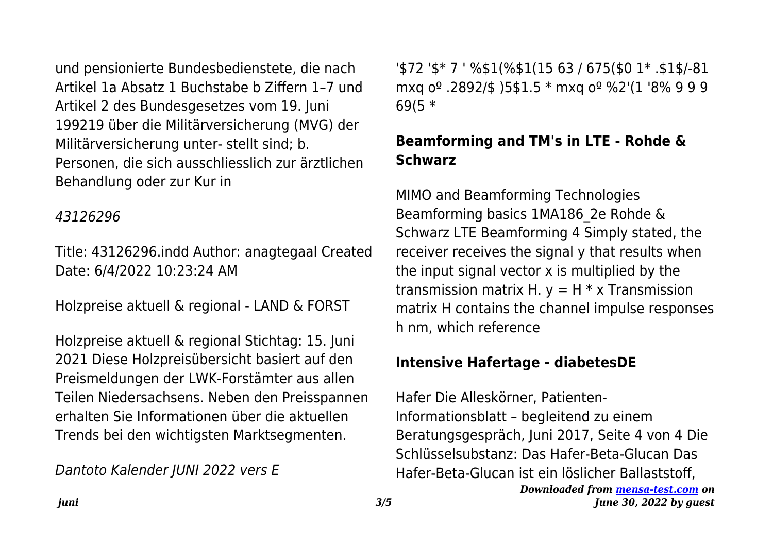und pensionierte Bundesbedienstete, die nach Artikel 1a Absatz 1 Buchstabe b Ziffern 1-7 und Artikel 2 des Bundesgesetzes vom 19. Juni 199219 über die Militärversicherung (MVG) der Militärversicherung unter- stellt sind: b. Personen, die sich ausschliesslich zur ärztlichen Behandlung oder zur Kur in

#### 43126296

Title: 43126296.indd Author: anagtegaal Created Date: 6/4/2022 10:23:24 AM

Holzpreise aktuell & regional - LAND & FORST

Holzpreise aktuell & regional Stichtag: 15. Juni 2021 Diese Holzpreisübersicht basiert auf den Preismeldungen der LWK-Forstämter aus allen Teilen Niedersachsens. Neben den Preisspannen erhalten Sie Informationen über die aktuellen Trends bei den wichtigsten Marktsegmenten.

Dantoto Kalender JUNI 2022 vers E

'\$72 '\$\* 7 ' %\$1(%\$1(15 63 / 675(\$0 1\* .\$1\$/-81 mxg o<sup>o</sup> .2892/\$ )5\$1.5 \* mxg o<sup>o</sup> %2'(1 '8% 9 9 9  $69(5 *$ 

# Beamforming and TM's in LTE - Rohde & **Schwarz**

MIMO and Beamforming Technologies Beamforming basics 1MA186 2e Rohde & Schwarz LTE Beamforming 4 Simply stated, the receiver receives the signal y that results when the input signal vector x is multiplied by the transmission matrix H.  $y = H * x$  Transmission matrix H contains the channel impulse responses h nm. which reference

## Intensive Hafertage - diabetesDE

Hafer Die Alleskörner, Patienten-Informationsblatt - begleitend zu einem Beratungsgespräch, Juni 2017, Seite 4 von 4 Die Schlüsselsubstanz: Das Hafer-Beta-Glucan Das Hafer-Beta-Glucan ist ein löslicher Ballaststoff.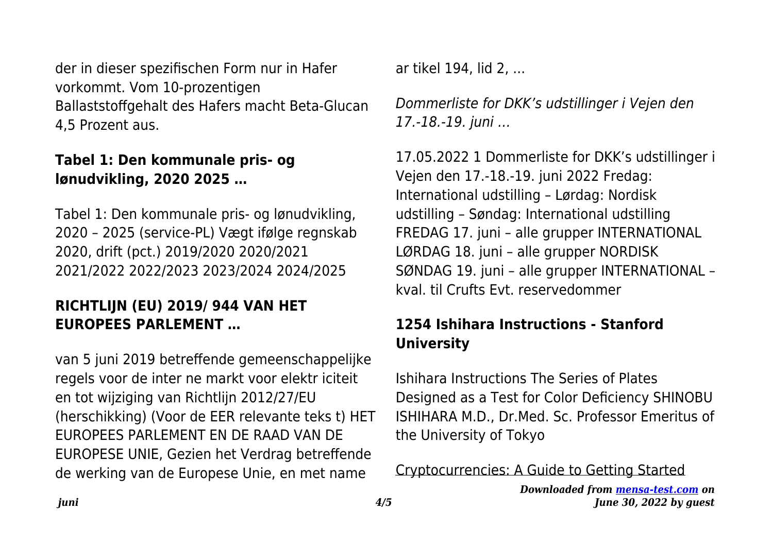der in dieser spezifischen Form nur in Hafer vorkommt. Vom 10-prozentigen Ballaststoffgehalt des Hafers macht Beta-Glucan 4,5 Prozent aus.

## **Tabel 1: Den kommunale pris- og lønudvikling, 2020 2025 …**

Tabel 1: Den kommunale pris- og lønudvikling, 2020 – 2025 (service-PL) Vægt ifølge regnskab 2020, drift (pct.) 2019/2020 2020/2021 2021/2022 2022/2023 2023/2024 2024/2025

## **RICHTLIJN (EU) 2019/ 944 VAN HET EUROPEES PARLEMENT …**

van 5 juni 2019 betreffende gemeenschappelijke regels voor de inter ne markt voor elektr iciteit en tot wijziging van Richtlijn 2012/27/EU (herschikking) (Voor de EER relevante teks t) HET EUROPEES PARLEMENT EN DE RAAD VAN DE EUROPESE UNIE, Gezien het Verdrag betreffende de werking van de Europese Unie, en met name

ar tikel 194, lid 2, ...

Dommerliste for DKK's udstillinger i Vejen den 17.-18.-19. juni …

17.05.2022 1 Dommerliste for DKK's udstillinger i Vejen den 17.-18.-19. juni 2022 Fredag: International udstilling – Lørdag: Nordisk udstilling – Søndag: International udstilling FREDAG 17. juni – alle grupper INTERNATIONAL LØRDAG 18. juni – alle grupper NORDISK SØNDAG 19. juni – alle grupper INTERNATIONAL – kval. til Crufts Evt. reservedommer

## **1254 Ishihara Instructions - Stanford University**

Ishihara Instructions The Series of Plates Designed as a Test for Color Deficiency SHINOBU ISHIHARA M.D., Dr.Med. Sc. Professor Emeritus of the University of Tokyo

Cryptocurrencies: A Guide to Getting Started

*Downloaded from [mensa-test.com](https://mensa-test.com) on June 30, 2022 by guest*